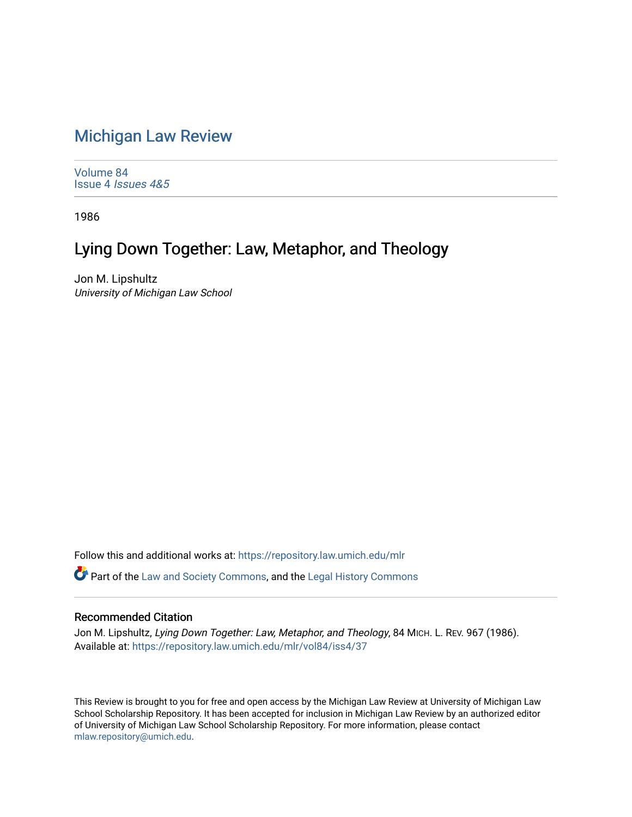## [Michigan Law Review](https://repository.law.umich.edu/mlr)

[Volume 84](https://repository.law.umich.edu/mlr/vol84) Issue 4 [Issues 4&5](https://repository.law.umich.edu/mlr/vol84/iss4) 

1986

## Lying Down Together: Law, Metaphor, and Theology

Jon M. Lipshultz University of Michigan Law School

Follow this and additional works at: [https://repository.law.umich.edu/mlr](https://repository.law.umich.edu/mlr?utm_source=repository.law.umich.edu%2Fmlr%2Fvol84%2Fiss4%2F37&utm_medium=PDF&utm_campaign=PDFCoverPages) 

Part of the [Law and Society Commons](http://network.bepress.com/hgg/discipline/853?utm_source=repository.law.umich.edu%2Fmlr%2Fvol84%2Fiss4%2F37&utm_medium=PDF&utm_campaign=PDFCoverPages), and the [Legal History Commons](http://network.bepress.com/hgg/discipline/904?utm_source=repository.law.umich.edu%2Fmlr%2Fvol84%2Fiss4%2F37&utm_medium=PDF&utm_campaign=PDFCoverPages)

## Recommended Citation

Jon M. Lipshultz, Lying Down Together: Law, Metaphor, and Theology, 84 MICH. L. REV. 967 (1986). Available at: [https://repository.law.umich.edu/mlr/vol84/iss4/37](https://repository.law.umich.edu/mlr/vol84/iss4/37?utm_source=repository.law.umich.edu%2Fmlr%2Fvol84%2Fiss4%2F37&utm_medium=PDF&utm_campaign=PDFCoverPages) 

This Review is brought to you for free and open access by the Michigan Law Review at University of Michigan Law School Scholarship Repository. It has been accepted for inclusion in Michigan Law Review by an authorized editor of University of Michigan Law School Scholarship Repository. For more information, please contact [mlaw.repository@umich.edu.](mailto:mlaw.repository@umich.edu)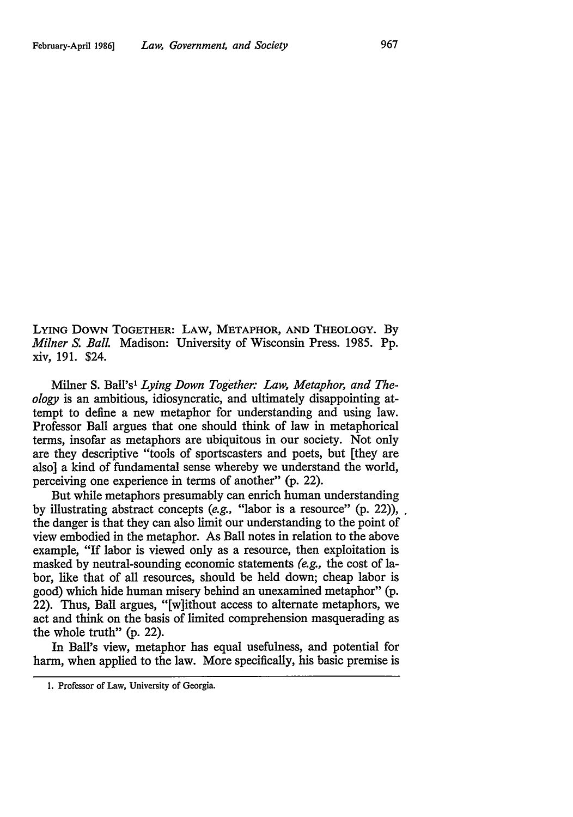LYING DOWN TOGETHER: LAW, METAPHOR, AND THEOLOGY. By *Milner S. Ball.* Madison: University of Wisconsin Press. 1985. Pp. xiv, 191. \$24.

Milner S. Ball's1 *Lying Down Together: Law, Metaphor, and Theology* is an ambitious, idiosyncratic, and ultimately disappointing attempt to define a new metaphor for understanding and using law. Professor Ball argues that one should think of law in metaphorical terms, insofar as metaphors are ubiquitous in our society. Not only are they descriptive "tools of sportscasters and poets, but [they are also] a kind of fundamental sense whereby we understand the world, perceiving one experience in terms of another" (p. 22).

But while metaphors presumably can enrich human understanding by illustrating abstract concepts *(e.g.,* "labor is a resource" (p. 22)), . the danger is that they can also limit our understanding to the point of view embodied in the metaphor. As Ball notes in relation to the above example, "If labor is viewed only as a resource, then exploitation is masked by neutral-sounding economic statements *(e.g.,* the cost of labor, like that of all resources, should be held down; cheap labor is good) which hide human misery behind an unexamined metaphor" (p. 22). Thus, Ball argues, "[w]ithout access to alternate metaphors, we act and think on the basis of limited comprehension masquerading as the whole truth" (p. 22).

In Ball's view, metaphor has equal usefulness, and potential for harm, when applied to the law. More specifically, his basic premise is

I. Professor of Law, University of Georgia.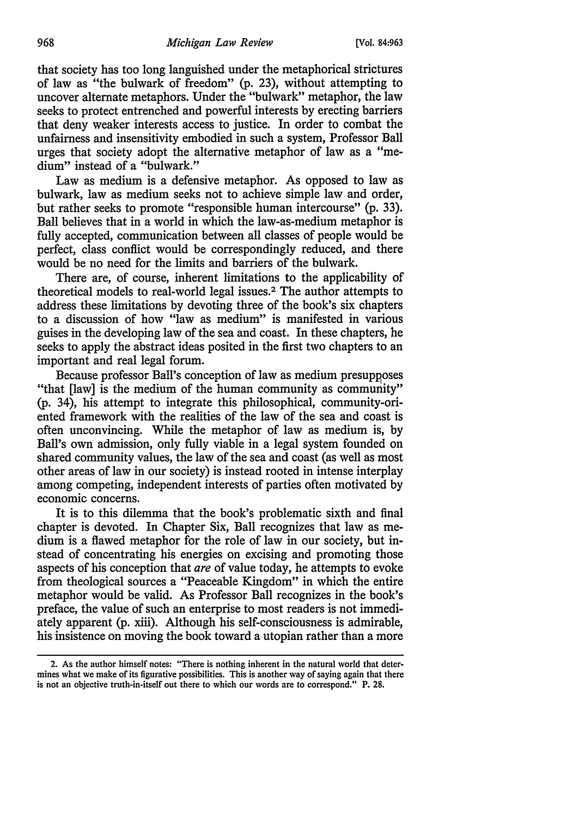that society has too long languished under the metaphorical strictures of law as "the bulwark of freedom" (p. 23), without attempting to uncover alternate metaphors. Under the "bulwark" metaphor, the law seeks to protect entrenched and powerful interests by erecting barriers that deny weaker interests access to justice. In order to combat the unfairness and insensitivity embodied in such a system, Professor Ball urges that society adopt the alternative metaphor of law as a "medium" instead of a "bulwark."

Law as medium is a defensive metaphor. As opposed to law as bulwark, law as medium seeks not. to achieve simple law and order, but rather seeks to promote "responsible human intercourse" (p. 33). Ball believes that in a world in which the law-as-medium metaphor is fully accepted, communication between all classes of people would be perfect, class conflict would be correspondingly reduced, and there would be no need for the limits and barriers of the bulwark.

There are, of course, inherent limitations to the applicability of theoretical models to real-world legal issues. 2 The author attempts to address these limitations by devoting three of the book's six chapters to a discussion of how "law as medium" is manifested in various guises in the developing law of the sea and coast. In these chapters, he seeks to apply the abstract ideas posited in the first two chapters to an important and real legal forum.

Because professor Ball's conception of law as medium presupposes "that [law] is the medium of the human community as community" (p. 34), his attempt to integrate this philosophical, community-oriented framework with the realities of the law of the sea and coast is often unconvincing. While the metaphor of law as medium is, by Ball's own admission, only fully viable in a legal system founded on shared community values, the law of the sea and coast (as well as most other areas of law in our society) is instead rooted in intense interplay among competing, independent interests of parties often motivated by economic concerns.

It is to this dilemma that the book's problematic sixth and final chapter is devoted. In Chapter Six, Ball recognizes that law as medium is a flawed metaphor for the role of law in our society, but instead of concentrating his energies on excising and promoting those aspects of his conception that *are* of value today, he attempts to evoke from theological sources a "Peaceable Kingdom" in which the entire metaphor would be valid. As Professor Ball recognizes in the book's preface, the value of such an enterprise to most readers is not immediately apparent (p. xiii). Although his self-consciousness is admirable, his insistence on moving the book toward a utopian rather than a more

<sup>2.</sup> As the author himself notes: "There is nothing inherent in the natural world that deter· mines what we make of its figurative possibilities. This is another way of saying again that there is not an objective truth-in-itself out there to which our words are to correspond." P. 28.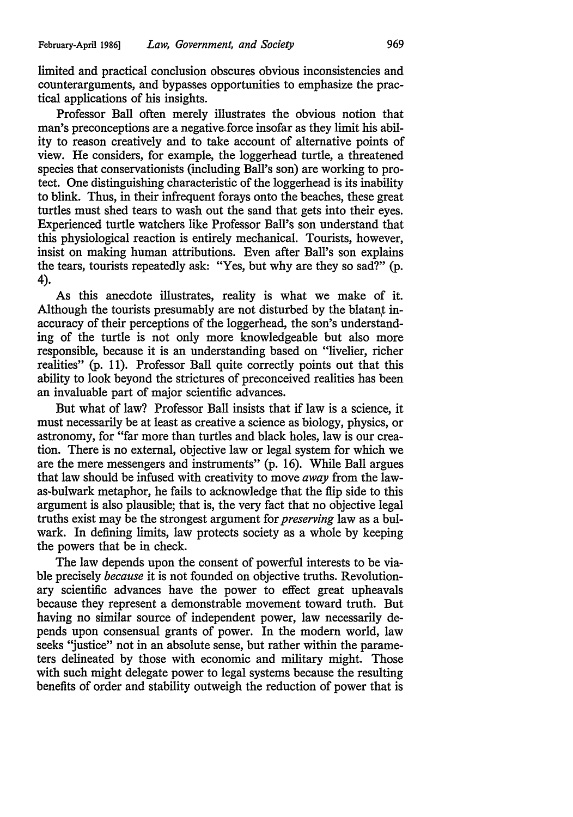limited and practical conclusion obscures obvious inconsistencies and counterarguments, and bypasses opportunities to emphasize the practical applications of his insights.

Professor Ball often merely illustrates the obvious notion that man's preconceptions are a negative.force insofar as they limit his ability to reason creatively and to take account of alternative points of view. He considers, for example, the loggerhead turtle, a threatened species that conservationists (including Ball's son) are working to protect. One distinguishing characteristic of the loggerhead is its inability to blink. Thus, in their infrequent forays onto the beaches, these great turtles must shed tears to wash out the sand that gets into their eyes. Experienced turtle watchers like Professor Ball's son understand that this physiological reaction is entirely mechanical. Tourists, however, insist on making human attributions. Even after Ball's son explains the tears, tourists repeatedly ask: "Yes, but why are they so sad?" (p. 4).

As this anecdote illustrates, reality is what we make of it. Although the tourists presumably are not disturbed by the blatant inaccuracy of their perceptions of the loggerhead, the son's understanding of the turtle is not only more knowledgeable but also more responsible, because it is an understanding based on "livelier, richer realities" (p. 11). Professor Ball quite correctly points out that this ability to look beyond the strictures of preconceived realities has been an invaluable part of major scientific advances.

But what of law? Professor Ball insists that if law is a science, it must necessarily be at least as creative a science as biology, physics, or astronomy, for "far more than turtles and black holes, law is our creation. There is no external, objective law or legal system for which we are the mere messengers and instruments" (p. 16). While Ball argues that law should be infused with creativity to move *away* from the lawas-bulwark metaphor, he fails to acknowledge that the flip side to this argument is also plausible; that is, the very fact that no objective legal truths exist may be the strongest argument for *preserving* law as a bulwark. In defining limits, law protects society as a whole by keeping the powers that be in check.

The law depends upon the consent of powerful interests to be viable precisely *because* it is not founded on objective truths. Revolutionary scientific advances have the power to effect great upheavals because they represent a demonstrable movement toward truth. But having no similar source of independent power, law necessarily depends upon consensual grants of power. In the modern world, law seeks "justice" not in an absolute sense, but rather within the parameters delineated by those with economic and military might. Those with such might delegate power to legal systems because the resulting benefits of order and stability outweigh the reduction of power that is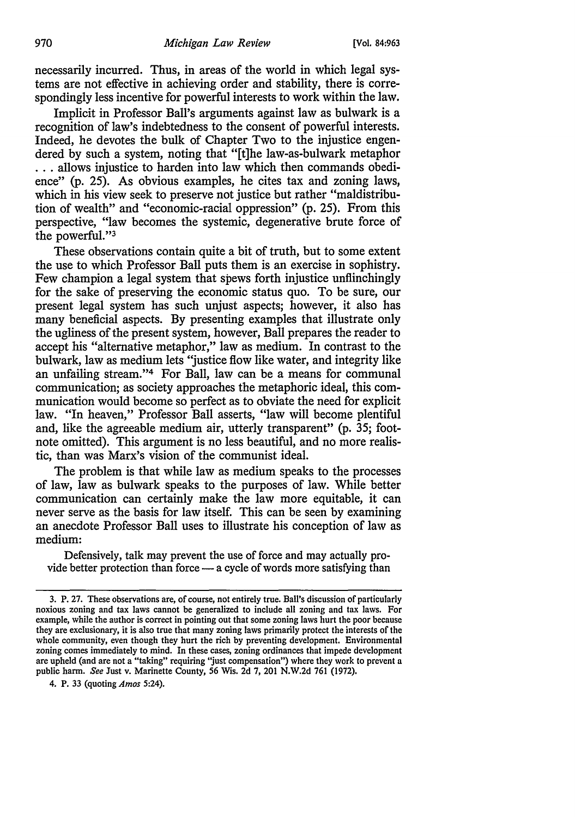necessarily incurred. Thus, in areas of the world in which legal systems are not effective in achieving order and stability, there is correspondingly less incentive for powerful interests to work within the law.

Implicit in Professor Ball's arguments against law as bulwark is a recognition of law's indebtedness to the consent of powerful interests. Indeed, he devotes the bulk of Chapter Two to the injustice engendered by such a system, noting that "[t]he law-as-bulwark metaphor . . . allows injustice to harden into law which then commands obedience" (p. 25). As obvious examples, he cites tax and zoning laws, which in his view seek to preserve not justice but rather "maldistribution of wealth" and "economic-racial oppression" (p. 25). From this perspective, "law becomes the systemic, degenerative brute force of the powerful."3

These observations contain quite a bit of truth, but to some extent the use to which Professor Ball puts them is an exercise in sophistry. Few champion a legal system that *spews* forth injustice unflinchingly for the sake of preserving the economic status quo. To be sure, our present legal system has such unjust aspects; however, it also has many beneficial aspects. By presenting examples that illustrate only the ugliness of the present system, however, Ball prepares the reader to accept his "alternative metaphor," law as medium. In contrast to the bulwark, law as medium lets "justice flow like water, and integrity like an unfailing stream."4 For Ball, law can be a means for communal communication; as society approaches the metaphoric ideal, this communication would become so perfect as to obviate the need for explicit law. "In heaven," Professor Ball asserts, "law will become plentiful and, like the agreeable medium air, utterly transparent" (p. 35; footnote omitted). This argument is no less beautiful, and no more realistic, than was Marx's vision of the communist ideal.

The problem is that while law as medium speaks to the processes of law, law as bulwark speaks to the purposes of law. While better communication can certainly make the law more equitable, it can never serve as the basis for law itself. This can be seen by examining an anecdote Professor Ball uses to illustrate his conception of law as medium:

Defensively, talk may prevent the use of force and may actually provide better protection than force  $-$  a cycle of words more satisfying than

4. P. 33 (quoting *Amos* 5:24).

<sup>3.</sup> P. 27. These observations are, of course, not entirely true. Ball's discussion of particularly noxious zoning and tax laws cannot be generalized to include all zoning and tax laws. For example, while the author is correct in pointing out that some zoning laws hurt the poor because they are exclusionary, it is also true that many zoning laws primarily protect the interests of the whole community, even though they hurt the rich by preventing development. Environmental zoning comes immediately to mind. In these cases, zoning ordinances that impede development are upheld (and are not a "taking" requiring "just compensation") where they work to prevent a public harm. *See* Just v. Marinette County, 56 Wis. 2d 7, 201 N.W.2d 761 (1972).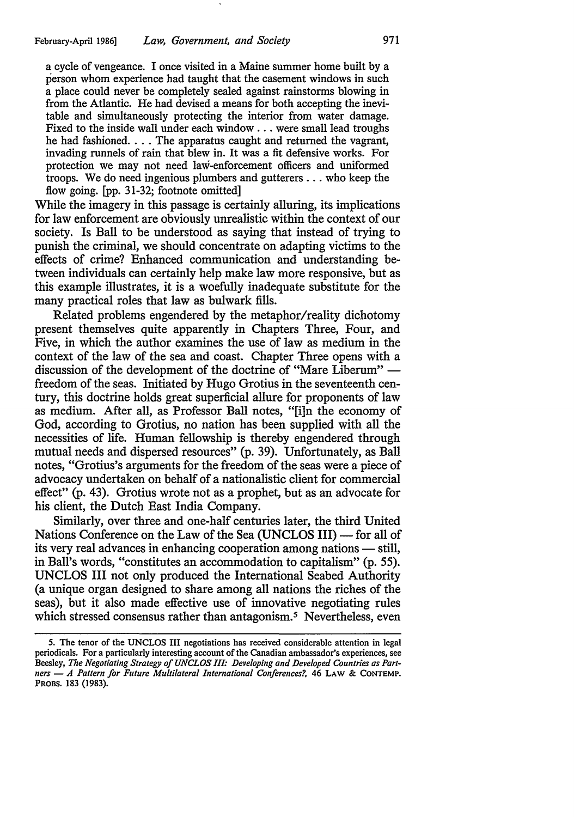a cycle of vengeance. I once visited in a Maine summer home built by a person whom experience had taught that the casement windows in such a place could never be completely sealed against rainstorms blowing in from the Atlantic. He had devised a means for both accepting the inevitable and simultaneously protecting the interior from water damage. Fixed to the inside wall under each window ... were small lead troughs he had fashioned.... The apparatus caught and returned the vagrant, invading runnels of rain that blew in. It was a fit defensive works. For protection we may not need law-enforcement officers and uniformed troops. We do need ingenious plumbers and gutterers ... who keep the flow going. [pp. 31-32; footnote omitted]

While the imagery in this passage is certainly alluring, its implications for law enforcement are obviously unrealistic within the context of our society. Is Ball to be understood as saying that instead of trying to punish the criminal, we should concentrate on adapting victims to the effects of crime? Enhanced communication and understanding between individuals can certainly help make law more responsive, but as this example illustrates, it is a woefully inadequate substitute for the many practical roles that law as bulwark fills.

Related problems engendered by the metaphor/reality dichotomy present themselves quite apparently in Chapters Three, Four, and Five, in which the author examines the use of law as medium in the context of the law of the sea and coast. Chapter Three opens with a discussion of the development of the doctrine of "Mare Liberum" freedom of the seas. Initiated by Hugo Grotius in the seventeenth century, this doctrine holds great superficial allure for proponents of law as medium. After all, as Professor Ball notes, "[i]n the economy of God, according to Grotius, no nation has been supplied with all the necessities of life. Human fellowship is thereby engendered through mutual needs and dispersed resources" (p. 39). Unfortunately, as Ball notes, "Grotius's arguments for the freedom of the seas were a piece of advocacy undertaken on behalf of a nationalistic client for commercial effect" (p. 43). Grotius wrote not as a prophet, but as an advocate for his client, the Dutch East India Company.

Similarly, over three and one-half centuries later, the third United Nations Conference on the Law of the Sea (UNCLOS III) - for all of its very real advances in enhancing cooperation among nations — still, in Ball's words, "constitutes an accommodation to capitalism" (p. 55). UNCLOS III not only produced the International Seabed Authority (a unique organ designed to share among all nations the riches of the seas), but it also made effective use of innovative negotiating rules which stressed consensus rather than antagonism.<sup>5</sup> Nevertheless, even

*<sup>5.</sup>* The tenor of the UNCLOS III negotiations has received considerable attention in legal periodicals. For a particularly interesting account of the Canadian ambassador's experiences, see Beesley, *The Negotiating Strategy of UNCLOS III: Developing and Developed Countries as Partners* - *A Pattern for Future Multilateral International Conferences?,* 46 LAW & CONTEMP. PROBS. 183 (1983).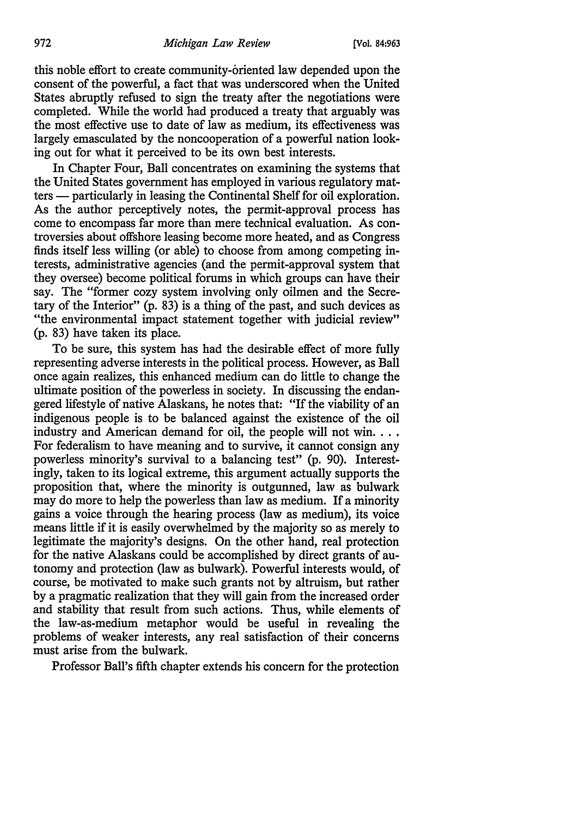this noble effort to create community-oriented law depended upon the consent of the powerful, a fact that was underscored when the United States abruptly refused to sign the treaty after the negotiations were completed. While the world had produced a treaty that arguably was the most effective use to date of law as medium, its effectiveness was largely emasculated by the noncooperation of a powerful nation looking out for what it perceived to be its own best interests.

In Chapter Four, Ball concentrates on examining the systems that the United States government has employed in various regulatory matters — particularly in leasing the Continental Shelf for oil exploration. As the author perceptively notes, the permit-approval process has come to encompass far more than mere technical evaluation. As controversies about offshore leasing become more heated, and as Congress finds itself less willing (or able) to choose from among competing interests, administrative agencies (and the permit-approval system that they oversee) become political forums in which groups can have their say. The "former cozy system involving only oilmen and the Secretary of the Interior" (p. 83) is a thing of the past, and such devices as "the environmental impact statement together with judicial review" (p. 83) have taken its place.

To be sure, this system has had the desirable effect of more fully representing adverse interests in the political process. However, as Ball once again realizes, this enhanced medium can do little to change the ultimate position of the powerless in society. In discussing the endangered lifestyle of native Alaskans, he notes that: "If the viability of an indigenous people is to be balanced against the existence of the oil industry and American demand for oil, the people will not win. . . . For federalism to have meaning and to survive, it cannot consign any powerless minority's survival to a balancing test" (p. 90). Interestingly, taken to its logical extreme, this argument actually supports the proposition that, where the minority is outgunned, law as bulwark may do more to help the powerless than law as medium. If a minority gains a voice through the hearing process (law as medium), its voice means little if it is easily overwhelmed by the majority so as merely to legitimate the majority's designs. On the other hand, real protection for the native Alaskans could be accomplished by direct grants of autonomy and protection (law as bulwark). Powerful interests would, of course, be motivated to make such grants not by altruism, but rather by a pragmatic realization that they will gain from the increased order and stability that result from such actions. Thus, while elements of the law-as-medium metaphor would be useful in revealing the problems of weaker interests, any real satisfaction of their concerns must arise from the bulwark.

Professor Ball's fifth chapter extends his concern for the protection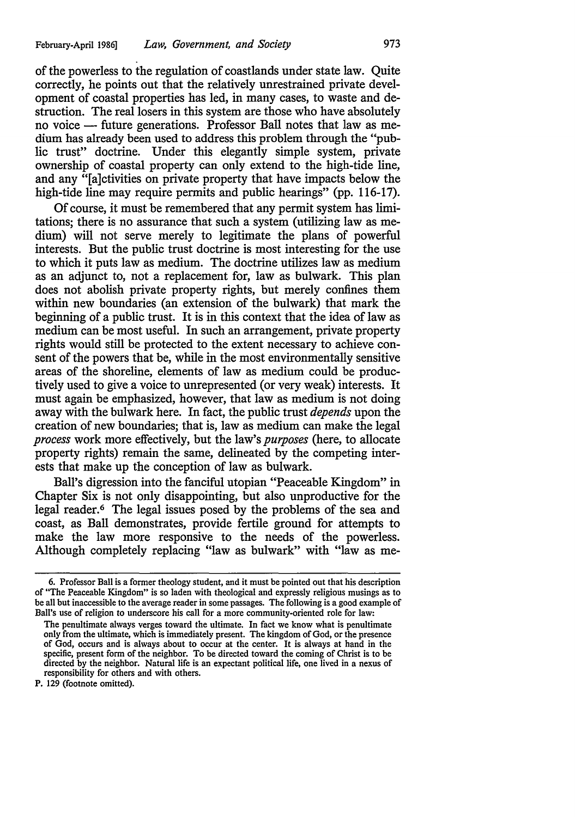of the powerless to the regulation of coastlands under state law. Quite correctly, he points out that the relatively unrestrained private development of coastal properties has led, in many cases, to waste and destruction. The real losers in this system are those who have absolutely no voice — future generations. Professor Ball notes that law as medium has already been used to address this problem through the "public trust" doctrine. Under this elegantly simple system, private ownership of coastal property can only extend to the high-tide line, and any "[a]ctivities on private property that have impacts below the high-tide line may require permits and public hearings" (pp. 116-17).

Of course, it must be remembered that any permit system has limitations; there is no assurance that such a system (utilizing law as medium) will not serve merely to legitimate the plans of powerful interests. But the public trust doctrine is most interesting for the use to which it puts law as medium. The doctrine utilizes law as medium as an adjunct to, not a replacement for, law as bulwark. This plan does not abolish private property rights, but merely confines them within new boundaries (an extension of the bulwark) that mark the beginning of a public trust. It is in this context that the idea of law as medium can be most useful. In such an arrangement, private property rights would still be protected to the extent necessary to achieve consent of the powers that be, while in the most environmentally sensitive areas of the shoreline, elements of law as medium could be productively used to give a voice to unrepresented (or very weak) interests. It must again be emphasized, however, that law as medium is not doing away with the bulwark here. In fact, the public trust *depends* upon the creation of new boundaries; that is, law as medium can make the legal *process* work more effectively, but the law's *purposes* (here, to allocate property rights) remain the same, delineated by the competing interests that make up the conception of law as bulwark.

Ball's digression into the fanciful utopian "Peaceable Kingdom" in Chapter Six is not only disappointing, but also unproductive for the legal reader.6 The legal issues posed by the problems of the sea and coast, as Ball demonstrates, provide fertile ground for attempts to make the law more responsive to the needs of the powerless. Although completely replacing "law as bulwark" with "law as me-

P. 129 (footnote omitted).

<sup>6.</sup> Professor Ball is a former theology student, and it must be pointed out that his description of "The Peaceable Kingdom" is so laden with theological and expressly religious musings as to be all but inaccessible to the average reader in some passages. The following is a good example of Ball's use of religion to underscore his call for a more community-oriented role for law:

The penultimate always verges toward the ultimate. In fact we know what is penultimate only from the ultimate, which is immediately present. The kingdom of God, or the presence of God, occurs and is always about to occur at the center. It is always at hand in the specific, present form of the neighbor. To be directed toward the coming of Christ is to be directed by the neighbor. Natural life is an expectant political life, one lived in a nexus of responsibility for others and with others.